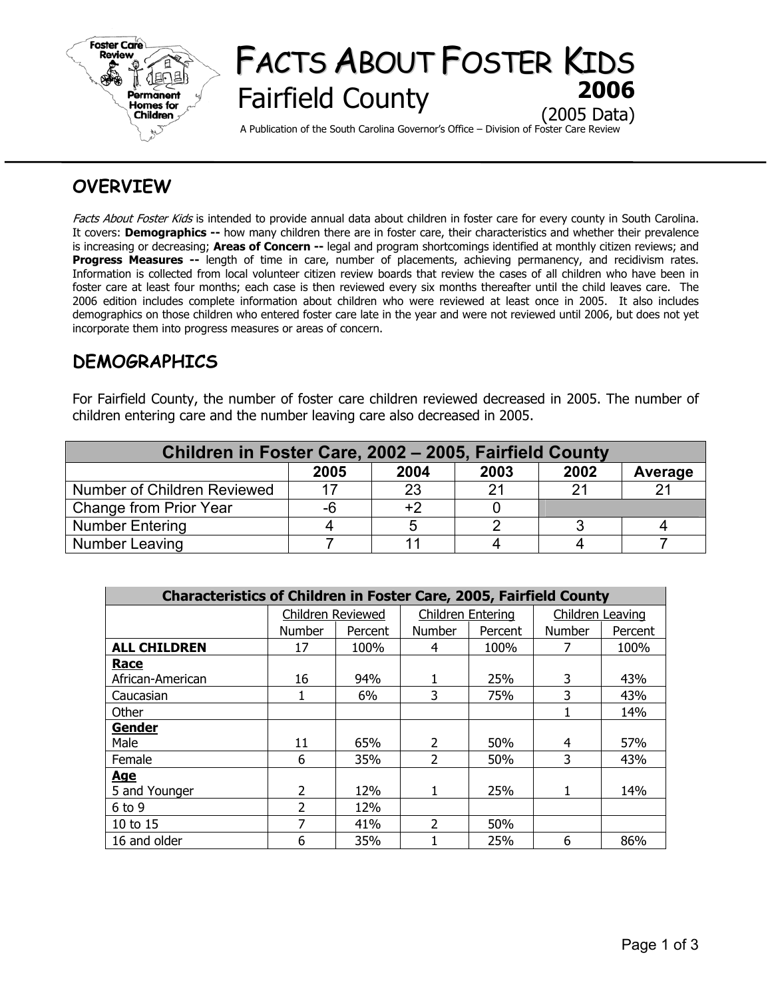

# FACTS ABOUT FOSTER KIDS **Fairfield County** (2005 Data)

A Publication of the South Carolina Governor's Office – Division of Foster Care Review

## **OVERVIEW**

Facts About Foster Kids is intended to provide annual data about children in foster care for every county in South Carolina. It covers: **Demographics --** how many children there are in foster care, their characteristics and whether their prevalence is increasing or decreasing; **Areas of Concern --** legal and program shortcomings identified at monthly citizen reviews; and **Progress Measures --** length of time in care, number of placements, achieving permanency, and recidivism rates. Information is collected from local volunteer citizen review boards that review the cases of all children who have been in foster care at least four months; each case is then reviewed every six months thereafter until the child leaves care. The 2006 edition includes complete information about children who were reviewed at least once in 2005. It also includes demographics on those children who entered foster care late in the year and were not reviewed until 2006, but does not yet incorporate them into progress measures or areas of concern.

## **DEMOGRAPHICS**

For Fairfield County, the number of foster care children reviewed decreased in 2005. The number of children entering care and the number leaving care also decreased in 2005.

| Children in Foster Care, 2002 - 2005, Fairfield County |      |      |      |      |         |  |  |  |
|--------------------------------------------------------|------|------|------|------|---------|--|--|--|
|                                                        | 2005 | 2004 | 2003 | 2002 | Average |  |  |  |
| Number of Children Reviewed                            |      | 23   | 21   | つ1   |         |  |  |  |
| Change from Prior Year                                 | -6   | $+2$ |      |      |         |  |  |  |
| <b>Number Entering</b>                                 |      |      |      |      |         |  |  |  |
| Number Leaving                                         |      | 11   |      |      |         |  |  |  |

| <b>Characteristics of Children in Foster Care, 2005, Fairfield County</b> |                   |         |                   |         |                  |         |  |  |
|---------------------------------------------------------------------------|-------------------|---------|-------------------|---------|------------------|---------|--|--|
|                                                                           | Children Reviewed |         | Children Entering |         | Children Leaving |         |  |  |
|                                                                           | Number            | Percent | Number            | Percent | <b>Number</b>    | Percent |  |  |
| <b>ALL CHILDREN</b>                                                       | 17                | 100%    | 4                 | 100%    |                  | 100%    |  |  |
| Race                                                                      |                   |         |                   |         |                  |         |  |  |
| African-American                                                          | 16                | 94%     |                   | 25%     | 3                | 43%     |  |  |
| Caucasian                                                                 |                   | 6%      | 3                 | 75%     | 3                | 43%     |  |  |
| Other                                                                     |                   |         |                   |         |                  | 14%     |  |  |
| <b>Gender</b>                                                             |                   |         |                   |         |                  |         |  |  |
| Male                                                                      | 11                | 65%     | $\overline{2}$    | 50%     | 4                | 57%     |  |  |
| Female                                                                    | 6                 | 35%     | 2                 | 50%     | 3                | 43%     |  |  |
| <u>Age</u>                                                                |                   |         |                   |         |                  |         |  |  |
| 5 and Younger                                                             | 2                 | 12%     |                   | 25%     |                  | 14%     |  |  |
| $6$ to $9$                                                                | $\mathcal{P}$     | 12%     |                   |         |                  |         |  |  |
| 10 to 15                                                                  | 7                 | 41%     | 2                 | 50%     |                  |         |  |  |
| 16 and older                                                              | 6                 | 35%     |                   | 25%     | 6                | 86%     |  |  |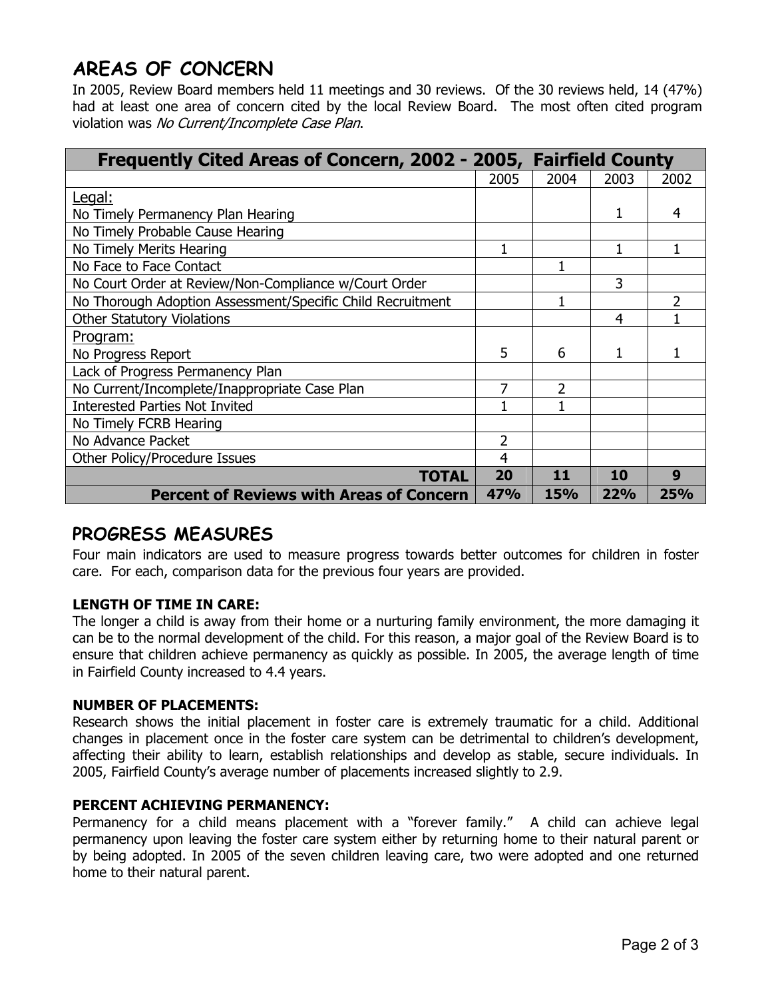## **AREAS OF CONCERN**

In 2005, Review Board members held 11 meetings and 30 reviews. Of the 30 reviews held, 14 (47%) had at least one area of concern cited by the local Review Board. The most often cited program violation was No Current/Incomplete Case Plan.

| Frequently Cited Areas of Concern, 2002 - 2005, Fairfield County |            |            |      |            |  |
|------------------------------------------------------------------|------------|------------|------|------------|--|
|                                                                  | 2005       | 2004       | 2003 | 2002       |  |
| Legal:                                                           |            |            |      |            |  |
| No Timely Permanency Plan Hearing                                |            |            | 1    | 4          |  |
| No Timely Probable Cause Hearing                                 |            |            |      |            |  |
| No Timely Merits Hearing                                         |            |            |      |            |  |
| No Face to Face Contact                                          |            |            |      |            |  |
| No Court Order at Review/Non-Compliance w/Court Order            |            |            | 3    |            |  |
| No Thorough Adoption Assessment/Specific Child Recruitment       |            |            |      | 2          |  |
| <b>Other Statutory Violations</b>                                |            |            | 4    |            |  |
| <u>Program:</u>                                                  |            |            |      |            |  |
| No Progress Report                                               | 5          | 6          | 1    |            |  |
| Lack of Progress Permanency Plan                                 |            |            |      |            |  |
| No Current/Incomplete/Inappropriate Case Plan                    |            | 2          |      |            |  |
| <b>Interested Parties Not Invited</b>                            |            |            |      |            |  |
| No Timely FCRB Hearing                                           |            |            |      |            |  |
| No Advance Packet                                                | 2          |            |      |            |  |
| Other Policy/Procedure Issues                                    | 4          |            |      |            |  |
| TOTAL                                                            | 20         | 11         | 10   | 9          |  |
| <b>Percent of Reviews with Areas of Concern</b>                  | <b>47%</b> | <b>15%</b> | 22%  | <b>25%</b> |  |

## **PROGRESS MEASURES**

Four main indicators are used to measure progress towards better outcomes for children in foster care. For each, comparison data for the previous four years are provided.

### **LENGTH OF TIME IN CARE:**

The longer a child is away from their home or a nurturing family environment, the more damaging it can be to the normal development of the child. For this reason, a major goal of the Review Board is to ensure that children achieve permanency as quickly as possible. In 2005, the average length of time in Fairfield County increased to 4.4 years.

### **NUMBER OF PLACEMENTS:**

Research shows the initial placement in foster care is extremely traumatic for a child. Additional changes in placement once in the foster care system can be detrimental to children's development, affecting their ability to learn, establish relationships and develop as stable, secure individuals. In 2005, Fairfield County's average number of placements increased slightly to 2.9.

### **PERCENT ACHIEVING PERMANENCY:**

Permanency for a child means placement with a "forever family." A child can achieve legal permanency upon leaving the foster care system either by returning home to their natural parent or by being adopted. In 2005 of the seven children leaving care, two were adopted and one returned home to their natural parent.